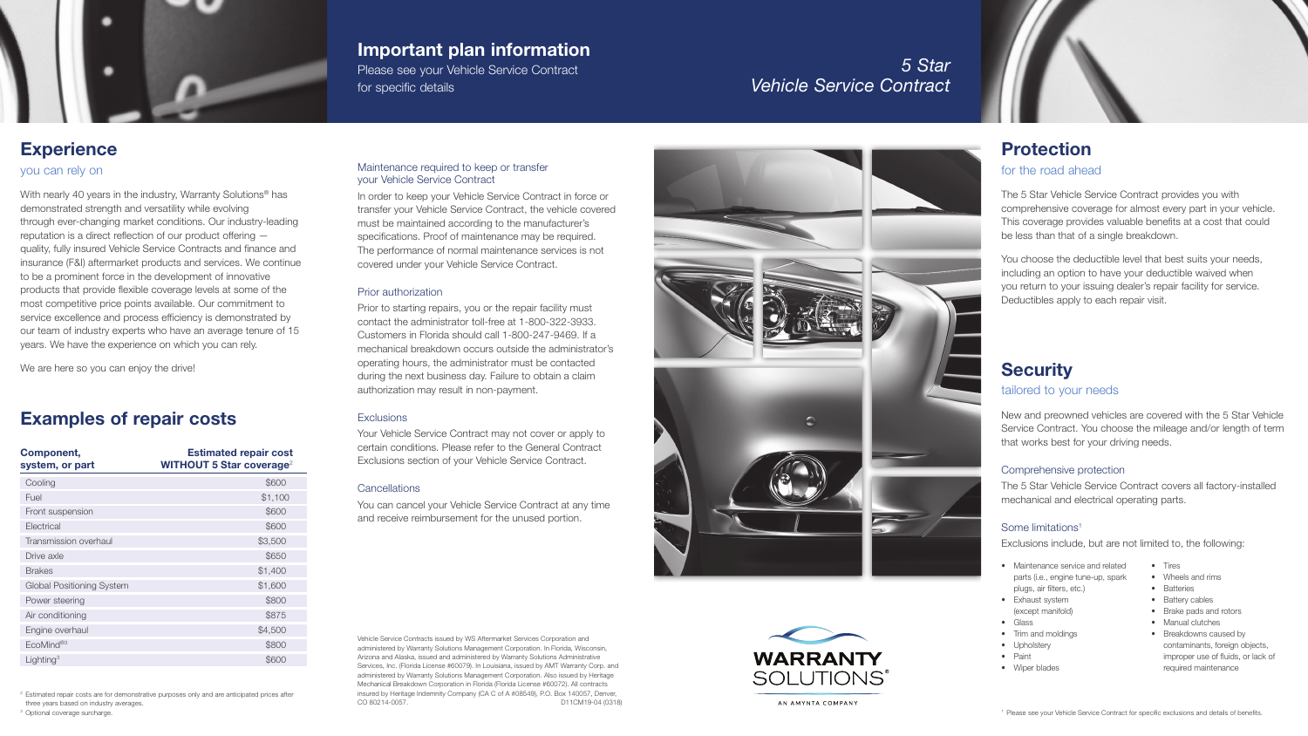# **Security** tailored to your needs

New and preowned vehicles are covered with the 5 Star Vehicle Service Contract. You choose the mileage and/or length of term that works best for your driving needs.

- Maintenance service and related
- parts (i.e., engine tune-up, spark
- plugs, air filters, etc.)
- Exhaust system
	- (except manifold)
- Glass
- Trim and moldings
	-

# Comprehensive protection

The 5 Star Vehicle Service Contract covers all factory-installed mechanical and electrical operating parts.

# Some limitations1

Exclusions include, but are not limited to, the following:

<sup>2</sup> Estimated repair costs are for demonstrative purposes only and are anticipated prices after three years based on industry averages.

<sup>3</sup> Optional coverage surcharge.

- 
- 
- 
- Upholstery
- Paint • Wiper blades

AN AMYNTA COMPANY

- Tires
- Wheels and rims
- Batteries
- Battery cables
- Brake pads and rotors
- Manual clutches
- Breakdowns caused by contaminants, foreign objects, improper use of fluids, or lack of required maintenance

<sup>1</sup> Please see your Vehicle Service Contract for specific exclusions and details of benefits.

With nearly 40 years in the industry, Warranty Solutions<sup>®</sup> has demonstrated strength and versatility while evolving through ever-changing market conditions. Our industry-leading reputation is a direct reflection of our product offering quality, fully insured Vehicle Service Contracts and finance and insurance (F&I) aftermarket products and services. We continue to be a prominent force in the development of innovative products that provide flexible coverage levels at some of the most competitive price points available. Our commitment to service excellence and process efficiency is demonstrated by our team of industry experts who have an average tenure of 15 years. We have the experience on which you can rely.

# Examples of repair costs

| <b>Component,</b><br>system, or part | <b>Estimated repair cost</b><br><b>WITHOUT 5 Star coverage<sup>2</sup></b> |
|--------------------------------------|----------------------------------------------------------------------------|
| Cooling                              | \$600                                                                      |
| Fuel                                 | \$1,100                                                                    |
| Front suspension                     | \$600                                                                      |
| Electrical                           | \$600                                                                      |
| Transmission overhaul                | \$3,500                                                                    |
| Drive axle                           | \$650                                                                      |
| <b>Brakes</b>                        | \$1,400                                                                    |
| <b>Global Positioning System</b>     | \$1,600                                                                    |
| Power steering                       | \$800                                                                      |
| Air conditioning                     | \$875                                                                      |
| Engine overhaul                      | \$4,500                                                                    |
| EcoMind®3                            | \$800                                                                      |
| Lighting <sup>3</sup>                | \$600                                                                      |

## you can rely on

We are here so you can enjoy the drive!

# Protection

# for the road ahead

The 5 Star Vehicle Service Contract provides you with comprehensive coverage for almost every part in your vehicle. This coverage provides valuable benefits at a cost that could be less than that of a single breakdown.

You choose the deductible level that best suits your needs, including an option to have your deductible waived when you return to your issuing dealer's repair facility for service. Deductibles apply to each repair visit.

# *5 Star Vehicle Service Contract*

# **Experience**

# Maintenance required to keep or transfer your Vehicle Service Contract

In order to keep your Vehicle Service Contract in force or transfer your Vehicle Service Contract, the vehicle covered must be maintained according to the manufacturer's specifications. Proof of maintenance may be required. The performance of normal maintenance services is not covered under your Vehicle Service Contract.

## Prior authorization

Prior to starting repairs, you or the repair facility must contact the administrator toll-free at 1-800-322-3933. Customers in Florida should call 1-800-247-9469. If a mechanical breakdown occurs outside the administrator's operating hours, the administrator must be contacted during the next business day. Failure to obtain a claim authorization may result in non-payment.

# **Exclusions**

Your Vehicle Service Contract may not cover or apply to certain conditions. Please refer to the General Contract Exclusions section of your Vehicle Service Contract.

# **Cancellations**

You can cancel your Vehicle Service Contract at any time and receive reimbursement for the unused portion.



# Important plan information

Please see your Vehicle Service Contract for specific details

Vehicle Service Contracts issued by WS Aftermarket Services Corporation and administered by Warranty Solutions Management Corporation. In Florida, Wisconsin, Arizona and Alaska, issued and administered by Warranty Solutions Administrative Services, Inc. (Florida License #60079). In Louisiana, issued by AMT Warranty Corp. and administered by Warranty Solutions Management Corporation. Also issued by Heritage Mechanical Breakdown Corporation in Florida (Florida License #60072). All contracts insured by Heritage Indemnity Company (CA C of A #08549), P.O. Box 140057, Denver, CO 80214-0057. D11CM19-04 (0318)